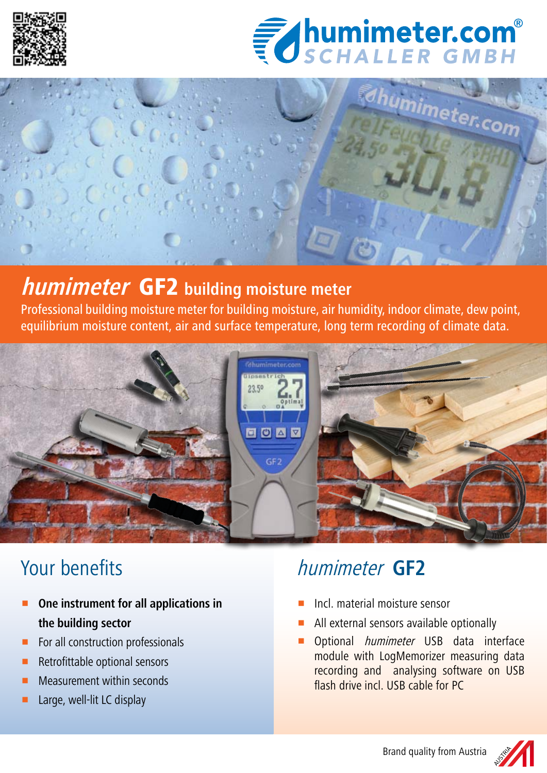





## **humimeter** GF2 **building moisture meter**

Professional building moisture meter for building moisture, air humidity, indoor climate, dew point, equilibrium moisture content, air and surface temperature, long term recording of climate data.



# Your benefits

- **P** One instrument for all applications in **the building sector**
- $\blacksquare$  For all construction professionals
- $\blacksquare$  Retrofittable optional sensors
- Measurement within seconds
- Large, well-lit LC display

# humimeter **GF2**

- p Incl. material moisture sensor
- All external sensors available optionally
- Optional humimeter USB data interface module with LogMemorizer measuring data recording and analysing software on USB flash drive incl. USB cable for PC